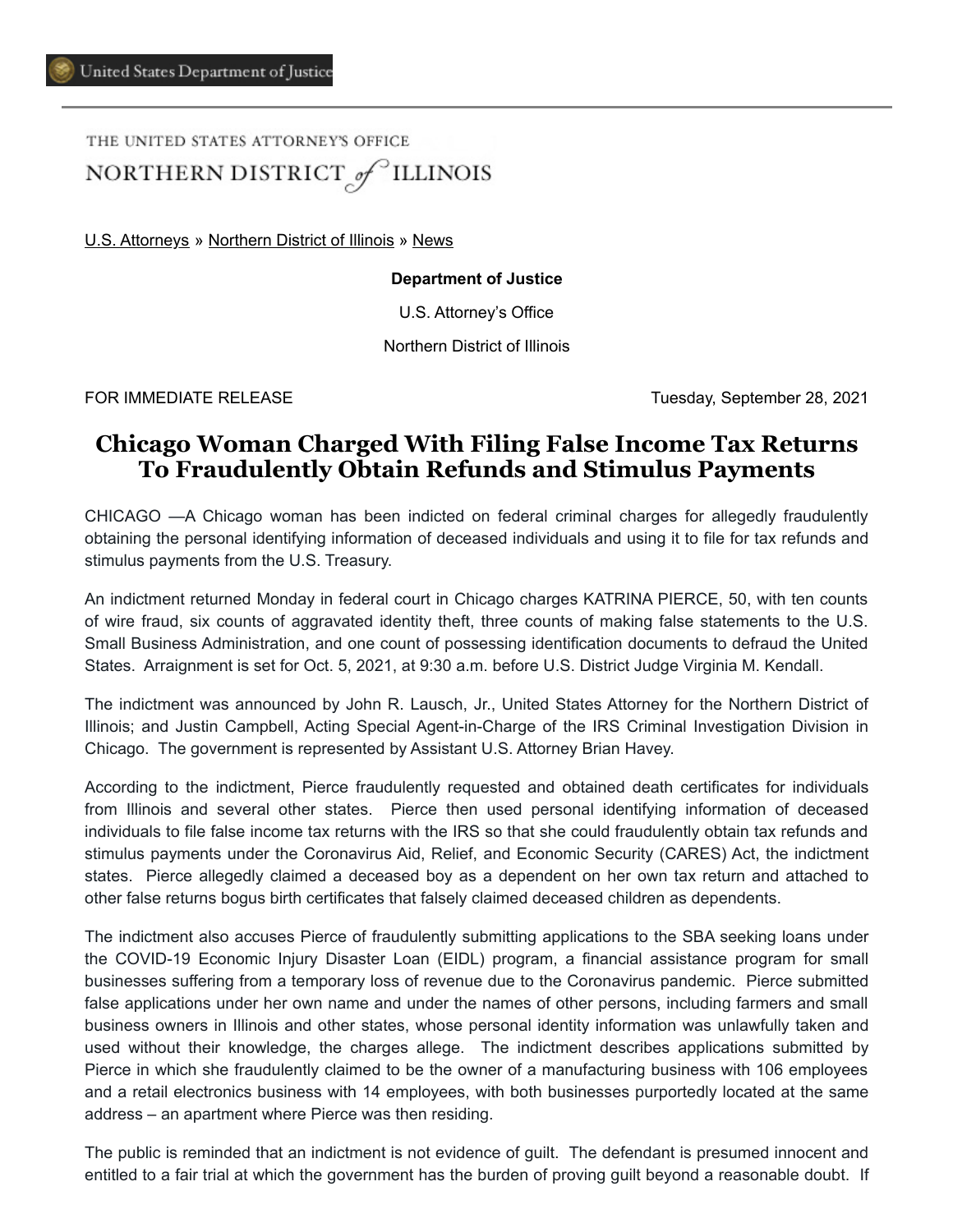THE UNITED STATES ATTORNEY'S OFFICE NORTHERN DISTRICT of ILLINOIS

[U.S. Attorneys](https://www.justice.gov/usao) » [Northern District of Illinois](https://www.justice.gov/usao-ndil) » [News](https://www.justice.gov/usao-ndil/pr)

#### **Department of Justice**

U.S. Attorney's Office

Northern District of Illinois

FOR IMMEDIATE RELEASE Tuesday, September 28, 2021

# **Chicago Woman Charged With Filing False Income Tax Returns To Fraudulently Obtain Refunds and Stimulus Payments**

CHICAGO —A Chicago woman has been indicted on federal criminal charges for allegedly fraudulently obtaining the personal identifying information of deceased individuals and using it to file for tax refunds and stimulus payments from the U.S. Treasury.

An indictment returned Monday in federal court in Chicago charges KATRINA PIERCE, 50, with ten counts of wire fraud, six counts of aggravated identity theft, three counts of making false statements to the U.S. Small Business Administration, and one count of possessing identification documents to defraud the United States. Arraignment is set for Oct. 5, 2021, at 9:30 a.m. before U.S. District Judge Virginia M. Kendall.

The indictment was announced by John R. Lausch, Jr., United States Attorney for the Northern District of Illinois; and Justin Campbell, Acting Special Agent-in-Charge of the IRS Criminal Investigation Division in Chicago. The government is represented by Assistant U.S. Attorney Brian Havey.

According to the indictment, Pierce fraudulently requested and obtained death certificates for individuals from Illinois and several other states. Pierce then used personal identifying information of deceased individuals to file false income tax returns with the IRS so that she could fraudulently obtain tax refunds and stimulus payments under the Coronavirus Aid, Relief, and Economic Security (CARES) Act, the indictment states. Pierce allegedly claimed a deceased boy as a dependent on her own tax return and attached to other false returns bogus birth certificates that falsely claimed deceased children as dependents.

The indictment also accuses Pierce of fraudulently submitting applications to the SBA seeking loans under the COVID-19 Economic Injury Disaster Loan (EIDL) program, a financial assistance program for small businesses suffering from a temporary loss of revenue due to the Coronavirus pandemic. Pierce submitted false applications under her own name and under the names of other persons, including farmers and small business owners in Illinois and other states, whose personal identity information was unlawfully taken and used without their knowledge, the charges allege. The indictment describes applications submitted by Pierce in which she fraudulently claimed to be the owner of a manufacturing business with 106 employees and a retail electronics business with 14 employees, with both businesses purportedly located at the same address – an apartment where Pierce was then residing.

The public is reminded that an indictment is not evidence of guilt. The defendant is presumed innocent and entitled to a fair trial at which the government has the burden of proving guilt beyond a reasonable doubt. If